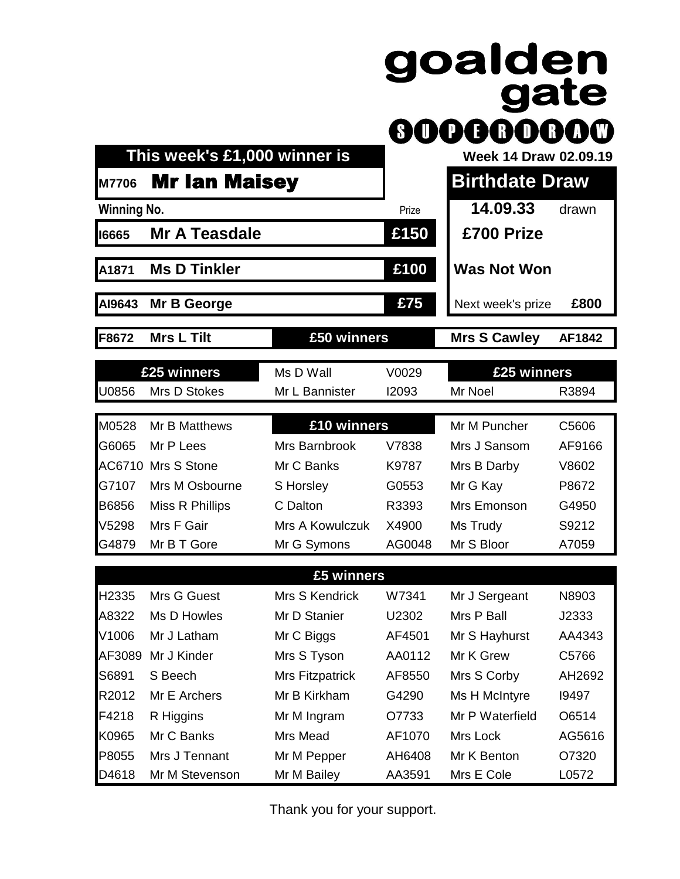|                    |                              |                 | SIU    | goalden<br>gate<br><b>OOOOOO</b> |        |
|--------------------|------------------------------|-----------------|--------|----------------------------------|--------|
|                    | This week's £1,000 winner is |                 |        | <b>Week 14 Draw 02.09.19</b>     |        |
| <b>M7706</b>       | <b>Mr Ian Maisey</b>         |                 |        | <b>Birthdate Draw</b>            |        |
| <b>Winning No.</b> |                              |                 | Prize  | 14.09.33                         | drawn  |
| 16665              | <b>Mr A Teasdale</b>         |                 | £150   | £700 Prize                       |        |
| A1871              | <b>Ms D Tinkler</b>          |                 | £100   | <b>Was Not Won</b>               |        |
| AI9643             | Mr B George                  |                 | £75    | Next week's prize                | £800   |
| F8672              | <b>Mrs L Tilt</b>            | £50 winners     |        | <b>Mrs S Cawley</b>              | AF1842 |
|                    | £25 winners                  | Ms D Wall       | V0029  | £25 winners                      |        |
| U0856              | Mrs D Stokes                 | Mr L Bannister  | 12093  | Mr Noel                          | R3894  |
| M0528              | Mr B Matthews                | £10 winners     |        | Mr M Puncher                     | C5606  |
| G6065              | Mr P Lees                    | Mrs Barnbrook   | V7838  | Mrs J Sansom                     | AF9166 |
|                    | AC6710 Mrs S Stone           | Mr C Banks      | K9787  | Mrs B Darby                      | V8602  |
| G7107              | Mrs M Osbourne               | S Horsley       | G0553  | Mr G Kay                         | P8672  |
| B6856              | Miss R Phillips              | C Dalton        | R3393  | Mrs Emonson                      | G4950  |
| V5298              | Mrs F Gair                   | Mrs A Kowulczuk | X4900  | Ms Trudy                         | S9212  |
| G4879              | Mr B T Gore                  | Mr G Symons     | AG0048 | Mr S Bloor                       | A7059  |
|                    |                              | £5 winners      |        |                                  |        |
| H2335              | Mrs G Guest                  | Mrs S Kendrick  | W7341  | Mr J Sergeant                    | N8903  |
| A8322              | Ms D Howles                  | Mr D Stanier    | U2302  | Mrs P Ball                       | J2333  |
| V1006              | Mr J Latham                  | Mr C Biggs      | AF4501 | Mr S Hayhurst                    | AA4343 |
| AF3089             | Mr J Kinder                  | Mrs S Tyson     | AA0112 | Mr K Grew                        | C5766  |
| S6891              | S Beech                      | Mrs Fitzpatrick | AF8550 | Mrs S Corby                      | AH2692 |
| R2012              | Mr E Archers                 | Mr B Kirkham    | G4290  | Ms H McIntyre                    | 19497  |
| F4218              | R Higgins                    | Mr M Ingram     | 07733  | Mr P Waterfield                  | O6514  |
| K0965              | Mr C Banks                   | Mrs Mead        | AF1070 | Mrs Lock                         | AG5616 |
| P8055              | Mrs J Tennant                | Mr M Pepper     | AH6408 | Mr K Benton                      | O7320  |
| D4618              | Mr M Stevenson               | Mr M Bailey     | AA3591 | Mrs E Cole                       | L0572  |

Thank you for your support.